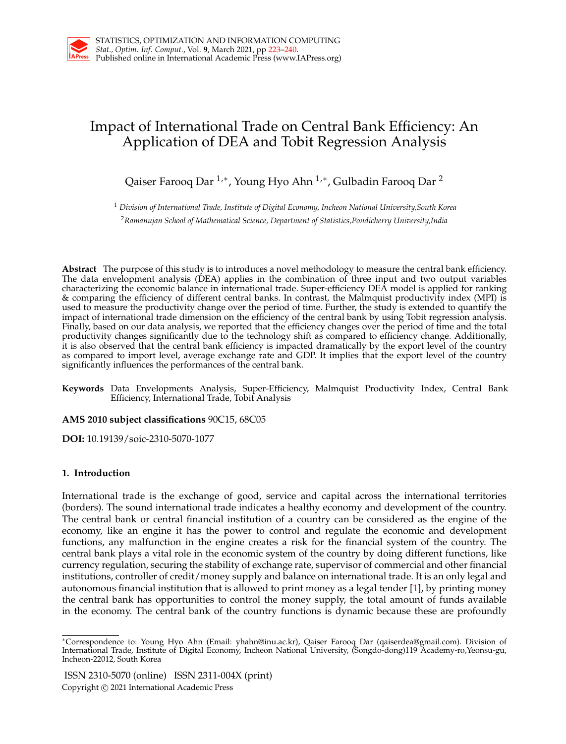# Impact of International Trade on Central Bank Efficiency: An Application of DEA and Tobit Regression Analysis

Qaiser Farooq Dar <sup>1,</sup>\*, Young Hyo Ahn <sup>1,</sup>\*, Gulbadin Farooq Dar <sup>2</sup>

<sup>1</sup> *Division of International Trade, Institute of Digital Economy, Incheon National University,South Korea* <sup>2</sup>*Ramanujan School of Mathematical Science, Department of Statistics,Pondicherry University,India*

**Abstract** The purpose of this study is to introduces a novel methodology to measure the central bank efficiency. The data envelopment analysis (DEA) applies in the combination of three input and two output variables characterizing the economic balance in international trade. Super-efficiency DEA model is applied for ranking & comparing the efficiency of different central banks. In contrast, the Malmquist productivity index (MPI) is used to measure the productivity change over the period of time. Further, the study is extended to quantify the impact of international trade dimension on the efficiency of the central bank by using Tobit regression analysis. Finally, based on our data analysis, we reported that the efficiency changes over the period of time and the total productivity changes significantly due to the technology shift as compared to efficiency change. Additionally, it is also observed that the central bank efficiency is impacted dramatically by the export level of the country as compared to import level, average exchange rate and GDP. It implies that the export level of the country significantly influences the performances of the central bank.

**Keywords** Data Envelopments Analysis, Super-Efficiency, Malmquist Productivity Index, Central Bank Efficiency, International Trade, Tobit Analysis

# **AMS 2010 subject classifications** 90C15, 68C05

**DOI:** 10.19139/soic-2310-5070-1077

# **1. Introduction**

International trade is the exchange of good, service and capital across the international territories (borders). The sound international trade indicates a healthy economy and development of the country. The central bank or central financial institution of a country can be considered as the engine of the economy, like an engine it has the power to control and regulate the economic and development functions, any malfunction in the engine creates a risk for the financial system of the country. The central bank plays a vital role in the economic system of the country by doing different functions, like currency regulation, securing the stability of exchange rate, supervisor of commercial and other financial institutions, controller of credit/money supply and balance on international trade. It is an only legal and autonomous financial institution that is allowed to print money as a legal tender [1], by printing money the central bank has opportunities to control the money supply, the total amount of funds available in the economy. The central bank of the country functions is dynamic because these are profoundly

ISSN 2310-5070 (online) ISSN 2311-004X (print) Copyright *⃝*c 2021 International Academic Press

*<sup>∗</sup>*Correspondence to: Young Hyo Ahn (Email: yhahn@inu.ac.kr), Qaiser Farooq Dar (qaiserdea@gmail.com). Division of International Trade, Institute of Digital Economy, Incheon National University, (Songdo-dong)119 Academy-ro,Yeonsu-gu, Incheon-22012, South Korea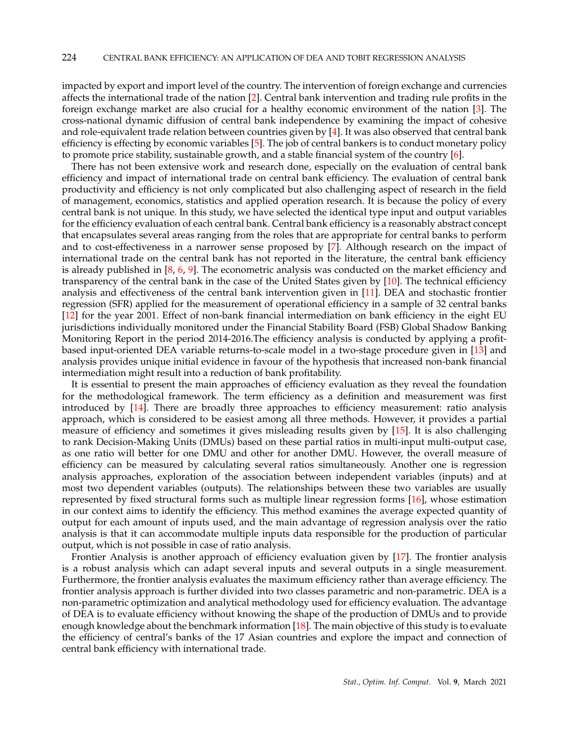impacted by export and import level of the country. The intervention of foreign exchange and currencies affects the international trade of the nation [2]. Central bank intervention and trading rule profits in the foreign exchange market are also crucial for a healthy economic environment of the nation [3]. The cross-national dynamic diffusion of central bank independence by examining the impact of cohesive and role-equivalent trade relation between countries given by [4]. It was also observed that central bank efficiency is effecting by economic variables [5]. The job of central bankers is to conduct monetary policy to promote price stability, sustainable growth, and a stable financial system of the country [6].

There has not been extensive work and research done, especially on the evaluation of central bank efficiency and impact of international trade on central bank efficiency. The evaluation of central bank productivity and efficiency is not only complicated but also challenging aspect of research in the field of management, economics, statistics and applied operation research. It is because the policy of every central bank is not unique. In this study, we have selected the identical type input and output variables for the efficiency evaluation of each central bank. Central bank efficiency is a reasonably abstract concept that encapsulates several areas ranging from the roles that are appropriate for central banks to perform and to cost-effectiveness in a narrower sense proposed by [7]. Although research on the impact of international trade on the central bank has not reported in the literature, the central bank efficiency is already published in  $[8, 6, 9]$ . The econometric analysis was conducted on the market efficiency and transparency of the central bank in the case of the United States given by  $[10]$ . The technical efficiency analysis and effectiveness of the central bank intervention given in [11]. DEA and stochastic frontier regression (SFR) applied for the measurement of operational efficiency in a sample of 32 central banks [12] for the year 2001. Effect of non-bank financial intermediation on bank efficiency in the eight EU jurisdictions individually monitored under the Financial Stability Board (FSB) Global Shadow Banking Monitoring Report in the period 2014-2016.The efficiency analysis is conducted by applying a profitbased input-oriented DEA variable returns-to-scale model in a two-stage procedure given in [13] and analysis provides unique initial evidence in favour of the hypothesis that increased non-bank financial intermediation might result into a reduction of bank profitability.

It is essential to present the main approaches of efficiency evaluation as they reveal the foundation for the methodological framework. The term efficiency as a definition and measurement was first introduced by [14]. There are broadly three approaches to efficiency measurement: ratio analysis approach, which is considered to be easiest among all three methods. However, it provides a partial measure of efficiency and sometimes it gives misleading results given by [15]. It is also challenging to rank Decision-Making Units (DMUs) based on these partial ratios in multi-input multi-output case, as one ratio will better for one DMU and other for another DMU. However, the overall measure of efficiency can be measured by calculating several ratios simultaneously. Another one is regression analysis approaches, exploration of the association between independent variables (inputs) and at most two dependent variables (outputs). The relationships between these two variables are usually represented by fixed structural forms such as multiple linear regression forms [16], whose estimation in our context aims to identify the efficiency. This method examines the average expected quantity of output for each amount of inputs used, and the main advantage of regression analysis over the ratio analysis is that it can accommodate multiple inputs data responsible for the production of particular output, which is not possible in case of ratio analysis.

Frontier Analysis is another approach of efficiency evaluation given by [17]. The frontier analysis is a robust analysis which can adapt several inputs and several outputs in a single measurement. Furthermore, the frontier analysis evaluates the maximum efficiency rather than average efficiency. The frontier analysis approach is further divided into two classes parametric and non-parametric. DEA is a non-parametric optimization and analytical methodology used for efficiency evaluation. The advantage of DEA is to evaluate efficiency without knowing the shape of the production of DMUs and to provide enough knowledge about the benchmark information [18]. The main objective of this study is to evaluate the efficiency of central's banks of the 17 Asian countries and explore the impact and connection of central bank efficiency with international trade.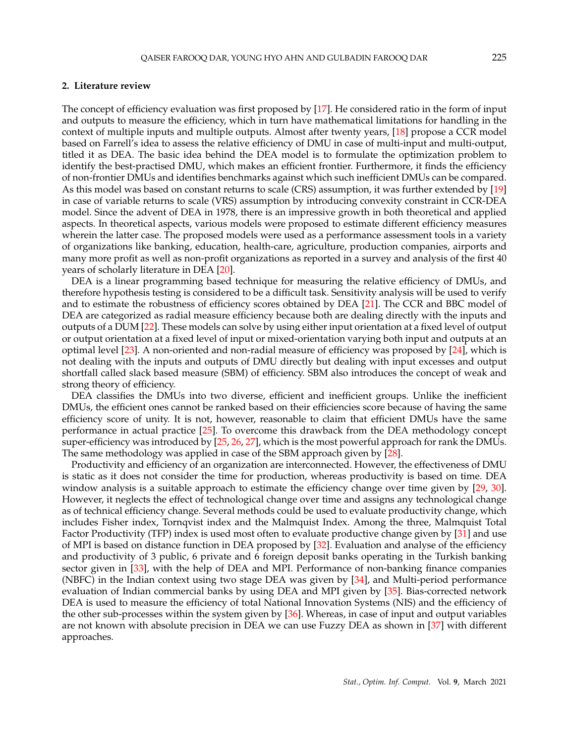## **2. Literature review**

The concept of efficiency evaluation was first proposed by [17]. He considered ratio in the form of input and outputs to measure the efficiency, which in turn have mathematical limitations for handling in the context of multiple inputs and multiple outputs. Almost after twenty years, [18] propose a CCR model based on Farrell's idea to assess the relative efficiency of DMU in case of multi-input and multi-output, titled it as DEA. The basic idea behind the DEA model is to formulate the optimization problem to identify the best-practised DMU, which makes an efficient frontier. Furthermore, it finds the efficiency of non-frontier DMUs and identifies benchmarks against which such inefficient DMUs can be compared. As this model was based on constant returns to scale (CRS) assumption, it was further extended by [19] in case of variable returns to scale (VRS) assumption by introducing convexity constraint in CCR-DEA model. Since the advent of DEA in 1978, there is an impressive growth in both theoretical and applied aspects. In theoretical aspects, various models were proposed to estimate different efficiency measures wherein the latter case. The proposed models were used as a performance assessment tools in a variety of organizations like banking, education, health-care, agriculture, production companies, airports and many more profit as well as non-profit organizations as reported in a survey and analysis of the first 40 years of scholarly literature in DEA [20].

DEA is a linear programming based technique for measuring the relative efficiency of DMUs, and therefore hypothesis testing is considered to be a difficult task. Sensitivity analysis will be used to verify and to estimate the robustness of efficiency scores obtained by DEA [21]. The CCR and BBC model of DEA are categorized as radial measure efficiency because both are dealing directly with the inputs and outputs of a DUM [22]. These models can solve by using either input orientation at a fixed level of output or output orientation at a fixed level of input or mixed-orientation varying both input and outputs at an optimal level [23]. A non-oriented and non-radial measure of efficiency was proposed by [24], which is not dealing with the inputs and outputs of DMU directly but dealing with input excesses and output shortfall called slack based measure (SBM) of efficiency. SBM also introduces the concept of weak and strong theory of efficiency.

DEA classifies the DMUs into two diverse, efficient and inefficient groups. Unlike the inefficient DMUs, the efficient ones cannot be ranked based on their efficiencies score because of having the same efficiency score of unity. It is not, however, reasonable to claim that efficient DMUs have the same performance in actual practice [25]. To overcome this drawback from the DEA methodology concept super-efficiency was introduced by [25, 26, 27], which is the most powerful approach for rank the DMUs. The same methodology was applied in case of the SBM approach given by [28].

Productivity and efficiency of an organization are interconnected. However, the effectiveness of DMU is static as it does not consider the time for production, whereas productivity is based on time. DEA window analysis is a suitable approach to estimate the efficiency change over time given by [29, 30]. However, it neglects the effect of technological change over time and assigns any technological change as of technical efficiency change. Several methods could be used to evaluate productivity change, which includes Fisher index, Tornqvist index and the Malmquist Index. Among the three, Malmquist Total Factor Productivity (TFP) index is used most often to evaluate productive change given by [31] and use of MPI is based on distance function in DEA proposed by [32]. Evaluation and analyse of the efficiency and productivity of 3 public, 6 private and 6 foreign deposit banks operating in the Turkish banking sector given in [33], with the help of DEA and MPI. Performance of non-banking finance companies (NBFC) in the Indian context using two stage DEA was given by [34], and Multi-period performance evaluation of Indian commercial banks by using DEA and MPI given by [35]. Bias-corrected network DEA is used to measure the efficiency of total National Innovation Systems (NIS) and the efficiency of the other sub-processes within the system given by [36]. Whereas, in case of input and output variables are not known with absolute precision in DEA we can use Fuzzy DEA as shown in [37] with different approaches.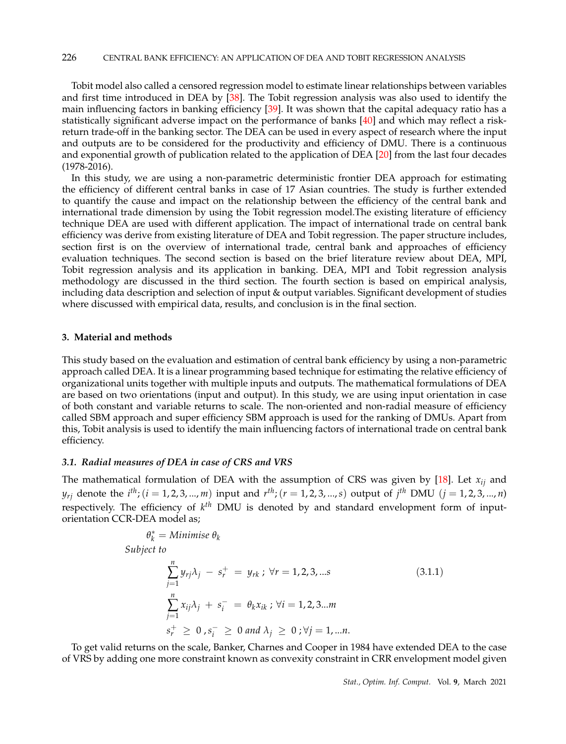Tobit model also called a censored regression model to estimate linear relationships between variables and first time introduced in DEA by [38]. The Tobit regression analysis was also used to identify the main influencing factors in banking efficiency [39]. It was shown that the capital adequacy ratio has a statistically significant adverse impact on the performance of banks [40] and which may reflect a riskreturn trade-off in the banking sector. The DEA can be used in every aspect of research where the input and outputs are to be considered for the productivity and efficiency of DMU. There is a continuous and exponential growth of publication related to the application of DEA [20] from the last four decades (1978-2016).

In this study, we are using a non-parametric deterministic frontier DEA approach for estimating the efficiency of different central banks in case of 17 Asian countries. The study is further extended to quantify the cause and impact on the relationship between the efficiency of the central bank and international trade dimension by using the Tobit regression model.The existing literature of efficiency technique DEA are used with different application. The impact of international trade on central bank efficiency was derive from existing literature of DEA and Tobit regression. The paper structure includes, section first is on the overview of international trade, central bank and approaches of efficiency evaluation techniques. The second section is based on the brief literature review about DEA, MPI, Tobit regression analysis and its application in banking. DEA, MPI and Tobit regression analysis methodology are discussed in the third section. The fourth section is based on empirical analysis, including data description and selection of input & output variables. Significant development of studies where discussed with empirical data, results, and conclusion is in the final section.

## **3. Material and methods**

This study based on the evaluation and estimation of central bank efficiency by using a non-parametric approach called DEA. It is a linear programming based technique for estimating the relative efficiency of organizational units together with multiple inputs and outputs. The mathematical formulations of DEA are based on two orientations (input and output). In this study, we are using input orientation in case of both constant and variable returns to scale. The non-oriented and non-radial measure of efficiency called SBM approach and super efficiency SBM approach is used for the ranking of DMUs. Apart from this, Tobit analysis is used to identify the main influencing factors of international trade on central bank efficiency.

# *3.1. Radial measures of DEA in case of CRS and VRS*

The mathematical formulation of DEA with the assumption of CRS was given by [18]. Let *xij* and *y*<sub>rj</sub> denote the *i*<sup>th</sup>; (*i* = 1, 2, 3, ..., *m*) input and *r*<sup>th</sup>; (*r* = 1, 2, 3, ..., *s*) output of *j*<sup>th</sup> DMU (*j* = 1, 2, 3, ..., *n*) respectively. The efficiency of *k th* DMU is denoted by and standard envelopment form of inputorientation CCR-DEA model as;

$$
\theta_k^* = \text{Minimise } \theta_k
$$
\n
$$
\text{Subject to}
$$
\n
$$
\sum_{j=1}^n y_{rj} \lambda_j - s_r^+ = y_{rk} \, ; \, \forall r = 1, 2, 3, \dots \text{s}
$$
\n
$$
\sum_{j=1}^n x_{ij} \lambda_j + s_i^- = \theta_k x_{ik} \, ; \, \forall i = 1, 2, 3 \dots \text{m}
$$
\n
$$
s_r^+ \geq 0 \, , s_i^- \geq 0 \, \text{and } \lambda_j \geq 0 \, ; \forall j = 1, \dots \text{n}.
$$
\n
$$
(3.1.1)
$$

To get valid returns on the scale, Banker, Charnes and Cooper in 1984 have extended DEA to the case of VRS by adding one more constraint known as convexity constraint in CRR envelopment model given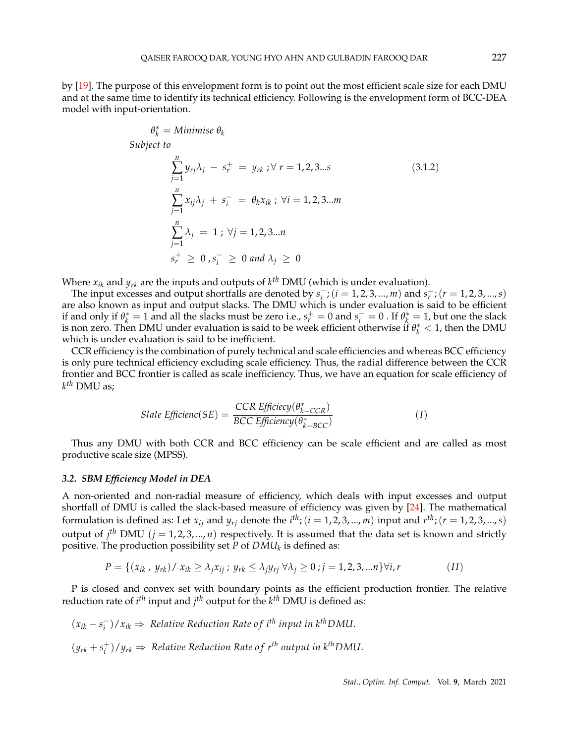by [19]. The purpose of this envelopment form is to point out the most efficient scale size for each DMU and at the same time to identify its technical efficiency. Following is the envelopment form of BCC-DEA model with input-orientation.

$$
\theta_k^* = \text{Minimise } \theta_k
$$
\n
$$
\text{Subject to}
$$
\n
$$
\sum_{j=1}^n y_{rj} \lambda_j - s_r^+ = y_{rk} ; \forall r = 1, 2, 3...s
$$
\n
$$
\sum_{j=1}^n x_{ij} \lambda_j + s_i^- = \theta_k x_{ik} ; \forall i = 1, 2, 3...m
$$
\n
$$
\sum_{j=1}^n \lambda_j = 1 ; \forall j = 1, 2, 3...n
$$
\n
$$
s_r^+ \geq 0, s_i^- \geq 0 \text{ and } \lambda_j \geq 0
$$
\n
$$
(3.1.2)
$$

Where  $x_{ik}$  and  $y_{rk}$  are the inputs and outputs of  $k^{th}$  DMU (which is under evaluation).

*<sup>k</sup>* = *Minimise θ<sup>k</sup>*

The input excesses and output shortfalls are denoted by  $s_i^ \overline{s}$ <sub>*i*</sub> ; (*i* = 1, 2, 3, ..., *m*) and *s*<sub>*r*</sub><sup>+</sup> ; (*r* = 1, 2, 3, ..., *s*) are also known as input and output slacks. The DMU which is under evaluation is said to be efficient if and only if  $\theta_k^* = 1$  and all the slacks must be zero i.e.,  $s_r^+ = 0$  and  $s_i^- = 0$ . If  $\theta_k^* = 1$ , but one the slack is non zero. Then DMU under evaluation is said to be week efficient otherwise if  $\theta_k^* < 1$ , then the DMU which is under evaluation is said to be inefficient.

CCR efficiency is the combination of purely technical and scale efficiencies and whereas BCC efficiency is only pure technical efficiency excluding scale efficiency. Thus, the radial difference between the CCR frontier and BCC frontier is called as scale inefficiency. Thus, we have an equation for scale efficiency of *k th* DMU as;

$$
Slale Efficienc(SE) = \frac{CCR \ Efficiecy(\theta_{k-CCR}^*)}{BCC \ Efficiency(\theta_{k-BCC}^*)}
$$
 (1)

Thus any DMU with both CCR and BCC efficiency can be scale efficient and are called as most productive scale size (MPSS).

#### *3.2. SBM Efficiency Model in DEA*

A non-oriented and non-radial measure of efficiency, which deals with input excesses and output shortfall of DMU is called the slack-based measure of efficiency was given by [24]. The mathematical formulation is defined as: Let  $x_{ij}$  and  $y_{rj}$  denote the  $i^{th}$ ; ( $i = 1, 2, 3, ..., m$ ) input and  $r^{th}$ ; ( $r = 1, 2, 3, ..., s$ ) output of  $j<sup>th</sup>$  DMU  $(j = 1, 2, 3, ..., n)$  respectively. It is assumed that the data set is known and strictly positive. The production possibility set *P* of *DMU<sup>k</sup>* is defined as:

$$
P = \{ (x_{ik}, y_{rk}) / x_{ik} \ge \lambda_j x_{ij} ; y_{rk} \le \lambda_j y_{rj} \ \forall \lambda_j \ge 0 ; j = 1, 2, 3, \dots n \} \forall i, r
$$
 (II)

P is closed and convex set with boundary points as the efficient production frontier. The relative reduction rate of *i th* input and *j th* output for the *k th* DMU is defined as:

 $(x_{ik} - s_i^-)$  $\binom{ }{i}/x_{ik}$  ⇒ Relative Reduction Rate of i<sup>th</sup> input in k<sup>th</sup>DMU.  $(y_{rk} + s_i^+$  $\langle i \rangle / y_{rk}$  ⇒ Relative Reduction Rate of  $r^{th}$  output in k<sup>th</sup>DMU.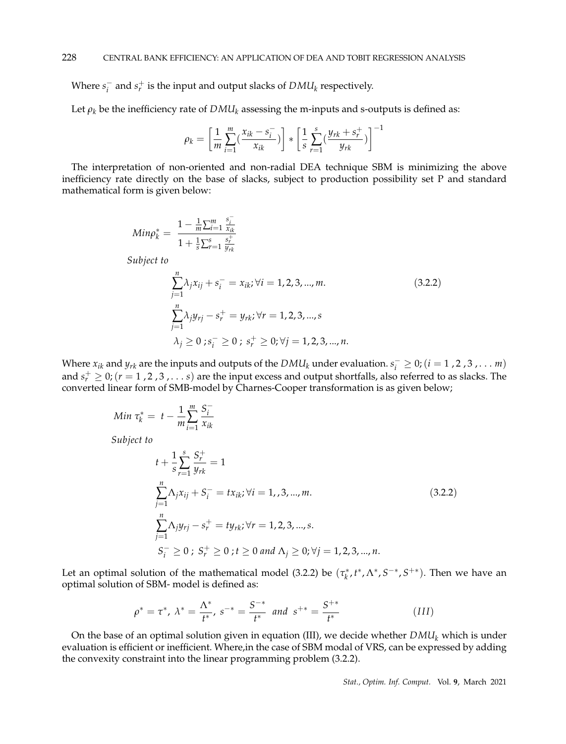Where  $s_i^ \frac{1}{i}$  and  $s_r^+$  is the input and output slacks of  $DMU_k$  respectively.

Let  $\rho_k$  be the inefficiency rate of  $DMU_k$  assessing the m-inputs and s-outputs is defined as:

$$
\rho_k = \left[ \frac{1}{m} \sum_{i=1}^{m} \left( \frac{x_{ik} - s_i^-}{x_{ik}} \right) \right] * \left[ \frac{1}{s} \sum_{r=1}^{s} \left( \frac{y_{rk} + s_r^+}{y_{rk}} \right) \right]^{-1}
$$

The interpretation of non-oriented and non-radial DEA technique SBM is minimizing the above inefficiency rate directly on the base of slacks, subject to production possibility set P and standard mathematical form is given below:

$$
Min\rho_k^* = \frac{1 - \frac{1}{m} \sum_{i=1}^m \frac{s_i^-}{x_{ik}}}{1 + \frac{1}{s} \sum_{r=1}^s \frac{s_r^+}{y_{rk}}}
$$
  
\nSubject to  
\n
$$
\sum_{j=1}^n \lambda_j x_{ij} + s_i^- = x_{ik}; \forall i = 1, 2, 3, ..., m.
$$
  
\n
$$
\sum_{j=1}^n \lambda_j y_{rj} - s_r^+ = y_{rk}; \forall r = 1, 2, 3, ..., s
$$
  
\n
$$
\lambda_j \ge 0; s_i^- \ge 0; s_r^+ \ge 0; \forall j = 1, 2, 3, ..., n.
$$
\n(3.2.2)

Where  $x_{ik}$  and  $y_{rk}$  are the inputs and outputs of the  $DMI_k$  under evaluation.  $s_i^- \geq 0$ ; (*i* = 1, 2, 3, . . . *m*) and  $s_r^+ \geq 0$ ; ( $r = 1$ , 2, 3, . . . *s*) are the input excess and output shortfalls, also referred to as slacks. The converted linear form of SMB-model by Charnes-Cooper transformation is as given below;

Min 
$$
\tau_k^* = t - \frac{1}{m} \sum_{i=1}^m \frac{S_i^-}{x_{ik}}
$$
  
\nSubject to  
\n
$$
t + \frac{1}{s} \sum_{r=1}^s \frac{S_r^+}{y_{rk}} = 1
$$
\n
$$
\sum_{j=1}^n \Lambda_j x_{ij} + S_i^- = tx_{ik}; \forall i = 1, 3, ..., m.
$$
\n
$$
\sum_{j=1}^n \Lambda_j y_{rj} - s_r^+ = ty_{rk}; \forall r = 1, 2, 3, ..., s.
$$
\n
$$
S_i^- \ge 0 \; ; \; S_r^+ \ge 0 \; ; \; t \ge 0 \; and \; \Lambda_j \ge 0; \forall j = 1, 2, 3, ..., n.
$$
\n(3.2.2)

Let an optimal solution of the mathematical model (3.2.2) be  $(\tau_k^*, t^*, \Lambda^*, S^{-*}, S^{+\ast})$ . Then we have an optimal solution of SBM- model is defined as:

$$
\rho^* = \tau^*, \ \lambda^* = \frac{\Lambda^*}{t^*}, \ s^{-*} = \frac{S^{-*}}{t^*} \ \text{and} \ \ s^{+*} = \frac{S^{+*}}{t^*}
$$
 (III)

On the base of an optimal solution given in equation (III), we decide whether *DMU<sup>k</sup>* which is under evaluation is efficient or inefficient. Where,in the case of SBM modal of VRS, can be expressed by adding the convexity constraint into the linear programming problem (3.2.2).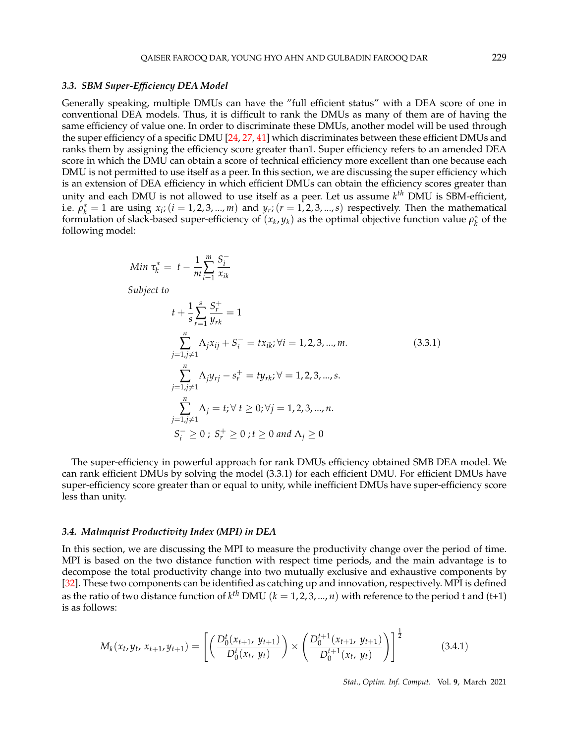#### *3.3. SBM Super-Efficiency DEA Model*

Generally speaking, multiple DMUs can have the "full efficient status" with a DEA score of one in conventional DEA models. Thus, it is difficult to rank the DMUs as many of them are of having the same efficiency of value one. In order to discriminate these DMUs, another model will be used through the super efficiency of a specific DMU [24, 27, 41] which discriminates between these efficient DMUs and ranks them by assigning the efficiency score greater than1. Super efficiency refers to an amended DEA score in which the DMU can obtain a score of technical efficiency more excellent than one because each DMU is not permitted to use itself as a peer. In this section, we are discussing the super efficiency which is an extension of DEA efficiency in which efficient DMUs can obtain the efficiency scores greater than unity and each DMU is not allowed to use itself as a peer. Let us assume *k th* DMU is SBM-efficient, i.e.  $\rho_k^* = 1$  are using  $x_i$ ; ( $i = 1, 2, 3, ..., m$ ) and  $y_r$ ; ( $r = 1, 2, 3, ..., s$ ) respectively. Then the mathematical formulation of slack-based super-efficiency of  $(x_k, y_k)$  as the optimal objective function value  $\rho_k^*$  of the following model:

Min 
$$
\tau_k^* = t - \frac{1}{m} \sum_{i=1}^m \frac{S_i^-}{x_{ik}}
$$

*Subject to*

$$
t + \frac{1}{s} \sum_{r=1}^{s} \frac{S_r^+}{y_{rk}} = 1
$$
  

$$
\sum_{j=1, j \neq 1}^{n} \Lambda_j x_{ij} + S_i^- = tx_{ik}; \forall i = 1, 2, 3, ..., m.
$$
  

$$
\sum_{j=1, j \neq 1}^{n} \Lambda_j y_{rj} - s_r^+ = ty_{rk}; \forall = 1, 2, 3, ..., s.
$$
  

$$
\sum_{j=1, j \neq 1}^{n} \Lambda_j = t; \forall t \ge 0; \forall j = 1, 2, 3, ..., n.
$$
  

$$
S_i^- \ge 0; S_r^+ \ge 0; t \ge 0 \text{ and } \Lambda_j \ge 0
$$
 (3.3.1)

The super-efficiency in powerful approach for rank DMUs efficiency obtained SMB DEA model. We can rank efficient DMUs by solving the model (3.3.1) for each efficient DMU. For efficient DMUs have super-efficiency score greater than or equal to unity, while inefficient DMUs have super-efficiency score less than unity.

#### *3.4. Malmquist Productivity Index (MPI) in DEA*

In this section, we are discussing the MPI to measure the productivity change over the period of time. MPI is based on the two distance function with respect time periods, and the main advantage is to decompose the total productivity change into two mutually exclusive and exhaustive components by [32]. These two components can be identified as catching up and innovation, respectively. MPI is defined as the ratio of two distance function of  $k^{th}$  DMU  $(k = 1, 2, 3, ..., n)$  with reference to the period t and (t+1) is as follows:

$$
M_k(x_t, y_t, x_{t+1}, y_{t+1}) = \left[ \left( \frac{D_0^t(x_{t+1}, y_{t+1})}{D_0^t(x_t, y_t)} \right) \times \left( \frac{D_0^{t+1}(x_{t+1}, y_{t+1})}{D_0^{t+1}(x_t, y_t)} \right) \right]^{\frac{1}{2}}
$$
(3.4.1)

*Stat., Optim. Inf. Comput.* Vol. **9**, March 2021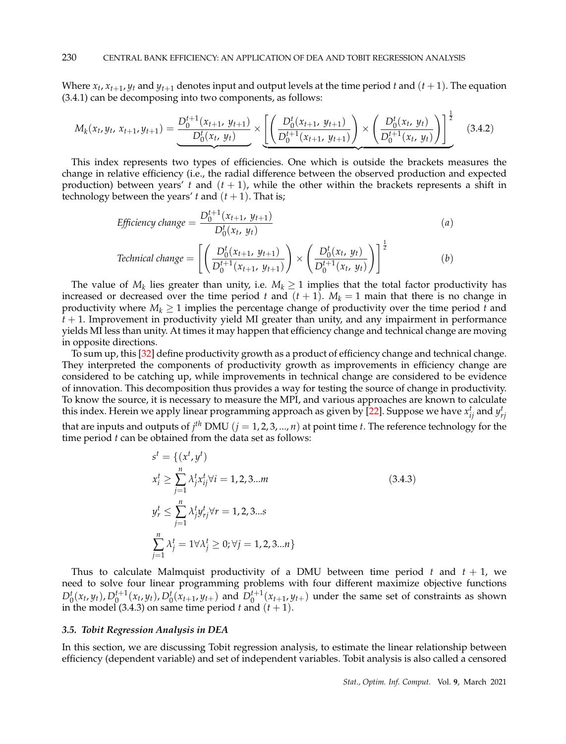Where  $x_t$ ,  $x_{t+1}$ ,  $y_t$  and  $y_{t+1}$  denotes input and output levels at the time period  $t$  and  $(t+1)$ . The equation (3.4.1) can be decomposing into two components, as follows:

$$
M_k(x_t, y_t, x_{t+1}, y_{t+1}) = \underbrace{\frac{D_0^{t+1}(x_{t+1}, y_{t+1})}{D_0^t(x_t, y_t)}}_{\text{max}} \times \left[ \left( \frac{D_0^t(x_{t+1}, y_{t+1})}{D_0^{t+1}(x_{t+1}, y_{t+1})} \right) \times \left( \frac{D_0^t(x_t, y_t)}{D_0^{t+1}(x_t, y_t)} \right) \right]^{\frac{1}{2}} \tag{3.4.2}
$$

This index represents two types of efficiencies. One which is outside the brackets measures the change in relative efficiency (i.e., the radial difference between the observed production and expected production) between years' *t* and  $(t + 1)$ , while the other within the brackets represents a shift in technology between the years'  $t$  and  $(t + 1)$ . That is;

$$
Efficiency \, change = \frac{D_0^{t+1}(x_{t+1}, y_{t+1})}{D_0^t(x_t, y_t)}
$$
\n
$$
Technical \, change = \left[ \left( \frac{D_0^t(x_{t+1}, y_{t+1})}{D_0^{t+1}(x_{t+1}, y_{t+1})} \right) \times \left( \frac{D_0^t(x_t, y_t)}{D_0^{t+1}(x_t, y_t)} \right) \right]^{\frac{1}{2}}
$$
\n
$$
(b)
$$

The value of  $M_k$  lies greater than unity, i.e.  $M_k \geq 1$  implies that the total factor productivity has increased or decreased over the time period *t* and  $(t + 1)$ .  $M_k = 1$  main that there is no change in productivity where  $M_k \geq 1$  implies the percentage change of productivity over the time period *t* and  $t + 1$ . Improvement in productivity yield MI greater than unity, and any impairment in performance yields MI less than unity. At times it may happen that efficiency change and technical change are moving in opposite directions.

To sum up, this [32] define productivity growth as a product of efficiency change and technical change. They interpreted the components of productivity growth as improvements in efficiency change are considered to be catching up, while improvements in technical change are considered to be evidence of innovation. This decomposition thus provides a way for testing the source of change in productivity. To know the source, it is necessary to measure the MPI, and various approaches are known to calculate this index. Herein we apply linear programming approach as given by [22]. Suppose we have  $x_{ij}^t$  and  $y_{rj}^t$ that are inputs and outputs of  $j^{th}$  DMU  $(j = 1, 2, 3, ..., n)$  at point time *t*. The reference technology for the

time period *t* can be obtained from the data set as follows:  
\n
$$
s^{t} = \{(x^{t}, y^{t})
$$
\n
$$
x_{i}^{t} \ge \sum_{j=1}^{n} \lambda_{j}^{t} x_{ij}^{t} \forall i = 1, 2, 3...m
$$
\n
$$
y_{r}^{t} \le \sum_{j=1}^{n} \lambda_{j}^{t} y_{rj}^{t} \forall r = 1, 2, 3...s
$$
\n
$$
\sum_{j=1}^{n} \lambda_{j}^{t} = 1 \forall \lambda_{j}^{t} \ge 0; \forall j = 1, 2, 3...n \}
$$
\n(3.4.3)

Thus to calculate Malmquist productivity of a DMU between time period  $t$  and  $t + 1$ , we need to solve four linear programming problems with four different maximize objective functions  $D_0^t(x_t, y_t)$ ,  $D_0^{t+1}(x_t, y_t)$ ,  $D_0^t(x_{t+1}, y_{t+})$  and  $D_0^{t+1}(x_{t+1}, y_{t+})$  under the same set of constraints as shown in the model (3.4.3) on same time period  $t$  and  $(t + 1)$ .

#### *3.5. Tobit Regression Analysis in DEA*

In this section, we are discussing Tobit regression analysis, to estimate the linear relationship between efficiency (dependent variable) and set of independent variables. Tobit analysis is also called a censored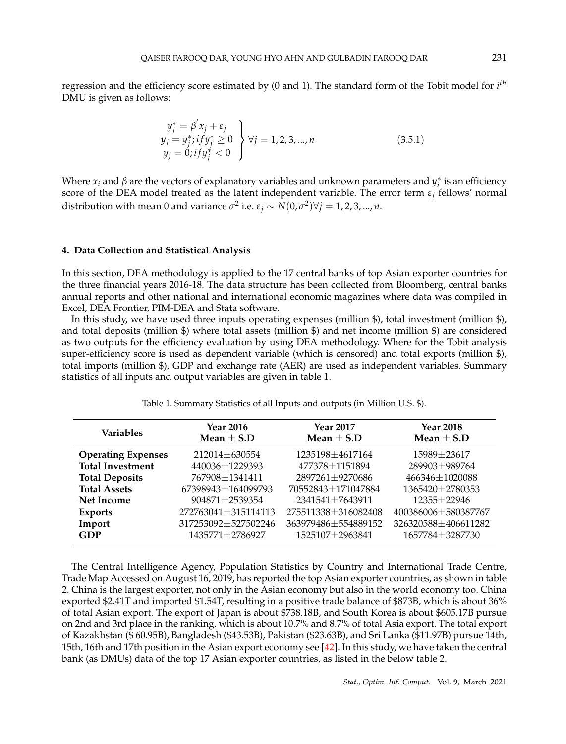regression and the efficiency score estimated by (0 and 1). The standard form of the Tobit model for *i th* DMU is given as follows:

$$
y_j^* = \beta' x_j + \varepsilon_j
$$
  
\n
$$
y_j = y_j^* i f y_j^* \ge 0
$$
  
\n
$$
y_j = 0; i f y_j^* < 0
$$
  
\n
$$
y_j = 0; i f y_j^* < 0
$$
\n(3.5.1)

Where  $x_i$  and  $\beta$  are the vectors of explanatory variables and unknown parameters and  $y_i^*$  is an efficiency score of the DEA model treated as the latent independent variable. The error term  $\varepsilon_j$  fellows' normal distribution with mean 0 and variance  $\sigma^2$  i.e.  $\varepsilon_j \sim N(0,\sigma^2)$  $\forall j = 1,2,3,...,n$ .

## **4. Data Collection and Statistical Analysis**

In this section, DEA methodology is applied to the 17 central banks of top Asian exporter countries for the three financial years 2016-18. The data structure has been collected from Bloomberg, central banks annual reports and other national and international economic magazines where data was compiled in Excel, DEA Frontier, PIM-DEA and Stata software.

In this study, we have used three inputs operating expenses (million \$), total investment (million \$), and total deposits (million \$) where total assets (million \$) and net income (million \$) are considered as two outputs for the efficiency evaluation by using DEA methodology. Where for the Tobit analysis super-efficiency score is used as dependent variable (which is censored) and total exports (million \$), total imports (million \$), GDP and exchange rate (AER) are used as independent variables. Summary statistics of all inputs and output variables are given in table 1.

Table 1. Summary Statistics of all Inputs and outputs (in Million U.S. \$).

| <b>Variables</b>          | <b>Year 2016</b><br>Mean $\pm$ S.D | <b>Year 2017</b><br>Mean $\pm$ S.D | <b>Year 2018</b><br>Mean $\pm$ S.D |
|---------------------------|------------------------------------|------------------------------------|------------------------------------|
| <b>Operating Expenses</b> | 212014±630554                      | 1235198±4617164                    | 15989±23617                        |
| <b>Total Investment</b>   | 440036±1229393                     | 477378±1151894                     | 289903±989764                      |
| <b>Total Deposits</b>     | 767908 ± 1341411                   | 2897261±9270686                    | 466346±1020088                     |
| <b>Total Assets</b>       | 67398943±164099793                 | 70552843±171047884                 | 1365420±2780353                    |
| <b>Net Income</b>         | 904871±2539354                     | 2341541±7643911                    | $12355 + 22946$                    |
| <b>Exports</b>            | 272763041±315114113                | 275511338±316082408                | 400386006±580387767                |
| Import                    | 317253092±527502246                | 363979486±554889152                | 326320588±406611282                |
| <b>GDP</b>                | 1435771±2786927                    | 1525107±2963841                    | 1657784±3287730                    |

The Central Intelligence Agency, Population Statistics by Country and International Trade Centre, Trade Map Accessed on August 16, 2019, has reported the top Asian exporter countries, as shown in table 2. China is the largest exporter, not only in the Asian economy but also in the world economy too. China exported \$2.41T and imported \$1.54T, resulting in a positive trade balance of \$873B, which is about 36% of total Asian export. The export of Japan is about \$738.18B, and South Korea is about \$605.17B pursue on 2nd and 3rd place in the ranking, which is about 10.7% and 8.7% of total Asia export. The total export of Kazakhstan (\$ 60.95B), Bangladesh (\$43.53B), Pakistan (\$23.63B), and Sri Lanka (\$11.97B) pursue 14th, 15th, 16th and 17th position in the Asian export economy see [42]. In this study, we have taken the central bank (as DMUs) data of the top 17 Asian exporter countries, as listed in the below table 2.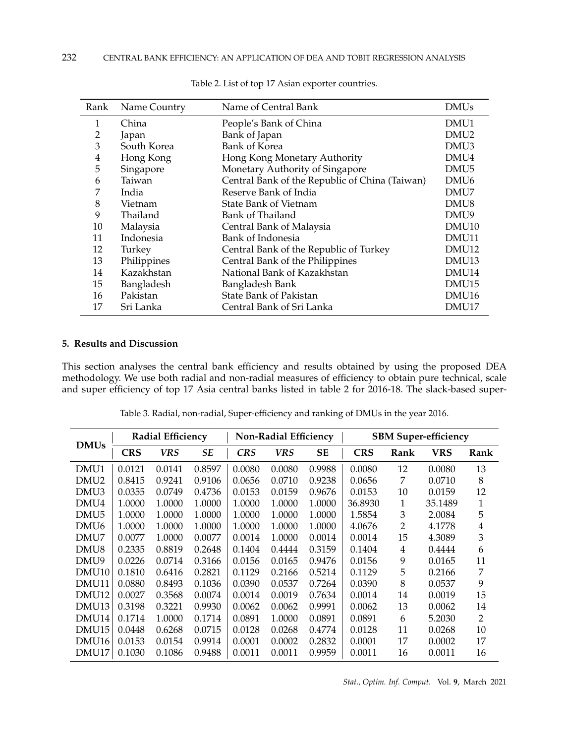| Rank | Name Country | Name of Central Bank                           | <b>DMUs</b>       |
|------|--------------|------------------------------------------------|-------------------|
| 1    | China        | People's Bank of China                         | DMU1              |
| 2    | Japan        | Bank of Japan                                  | DMU <sub>2</sub>  |
| 3    | South Korea  | <b>Bank of Korea</b>                           | DMU3              |
| 4    | Hong Kong    | Hong Kong Monetary Authority                   | DMU4              |
| 5    | Singapore    | Monetary Authority of Singapore                | DMU <sub>5</sub>  |
| 6    | Taiwan       | Central Bank of the Republic of China (Taiwan) | DMU <sub>6</sub>  |
| 7    | India        | Reserve Bank of India                          | DMU7              |
| 8    | Vietnam      | <b>State Bank of Vietnam</b>                   | DMU8              |
| 9    | Thailand     | <b>Bank of Thailand</b>                        | DMU9              |
| 10   | Malaysia     | Central Bank of Malaysia                       | DMU <sub>10</sub> |
| 11   | Indonesia    | Bank of Indonesia                              | DMU <sub>11</sub> |
| 12   | Turkey       | Central Bank of the Republic of Turkey         | DMU <sub>12</sub> |
| 13   | Philippines  | Central Bank of the Philippines                | DMU <sub>13</sub> |
| 14   | Kazakhstan   | National Bank of Kazakhstan                    | DMU <sub>14</sub> |
| 15   | Bangladesh   | Bangladesh Bank                                | DMU <sub>15</sub> |
| 16   | Pakistan     | <b>State Bank of Pakistan</b>                  | DMU <sub>16</sub> |
| 17   | Sri Lanka    | Central Bank of Sri Lanka                      | DMU17             |

Table 2. List of top 17 Asian exporter countries.

# **5. Results and Discussion**

This section analyses the central bank efficiency and results obtained by using the proposed DEA methodology. We use both radial and non-radial measures of efficiency to obtain pure technical, scale and super efficiency of top 17 Asia central banks listed in table 2 for 2016-18. The slack-based super-

|  |  |  |  |  | Table 3. Radial, non-radial, Super-efficiency and ranking of DMUs in the year 2016. |
|--|--|--|--|--|-------------------------------------------------------------------------------------|
|--|--|--|--|--|-------------------------------------------------------------------------------------|

| <b>Radial Efficiency</b> |            |        | <b>Non-Radial Efficiency</b> |            |            | <b>SBM Super-efficiency</b> |            |      |            |                |
|--------------------------|------------|--------|------------------------------|------------|------------|-----------------------------|------------|------|------------|----------------|
| <b>DMUs</b>              | <b>CRS</b> | VRS    | SE                           | <b>CRS</b> | <b>VRS</b> | SE                          | <b>CRS</b> | Rank | <b>VRS</b> | Rank           |
| DMU1                     | 0.0121     | 0.0141 | 0.8597                       | 0.0080     | 0.0080     | 0.9988                      | 0.0080     | 12   | 0.0080     | 13             |
| DMU2                     | 0.8415     | 0.9241 | 0.9106                       | 0.0656     | 0.0710     | 0.9238                      | 0.0656     | 7    | 0.0710     | 8              |
| DMU3                     | 0.0355     | 0.0749 | 0.4736                       | 0.0153     | 0.0159     | 0.9676                      | 0.0153     | 10   | 0.0159     | 12             |
| DMU4                     | 1.0000     | 1.0000 | 1.0000                       | 1.0000     | 1.0000     | 1.0000                      | 36.8930    | 1    | 35.1489    | 1              |
| DMU <sub>5</sub>         | 1.0000     | 1.0000 | 1.0000                       | 1.0000     | 1.0000     | 1.0000                      | 1.5854     | 3    | 2.0084     | 5              |
| DMU <sub>6</sub>         | 1.0000     | 1.0000 | 1.0000                       | 1.0000     | 1.0000     | 1.0000                      | 4.0676     | 2    | 4.1778     | 4              |
| DMU7                     | 0.0077     | 1.0000 | 0.0077                       | 0.0014     | 1.0000     | 0.0014                      | 0.0014     | 15   | 4.3089     | 3              |
| DMU8                     | 0.2335     | 0.8819 | 0.2648                       | 0.1404     | 0.4444     | 0.3159                      | 0.1404     | 4    | 0.4444     | 6              |
| DMU9                     | 0.0226     | 0.0714 | 0.3166                       | 0.0156     | 0.0165     | 0.9476                      | 0.0156     | 9    | 0.0165     | 11             |
| DMU <sub>10</sub>        | 0.1810     | 0.6416 | 0.2821                       | 0.1129     | 0.2166     | 0.5214                      | 0.1129     | 5    | 0.2166     | 7              |
| DMU11                    | 0.0880     | 0.8493 | 0.1036                       | 0.0390     | 0.0537     | 0.7264                      | 0.0390     | 8    | 0.0537     | 9              |
| DMU12                    | 0.0027     | 0.3568 | 0.0074                       | 0.0014     | 0.0019     | 0.7634                      | 0.0014     | 14   | 0.0019     | 15             |
| DMU <sub>13</sub>        | 0.3198     | 0.3221 | 0.9930                       | 0.0062     | 0.0062     | 0.9991                      | 0.0062     | 13   | 0.0062     | 14             |
| DMU14                    | 0.1714     | 1.0000 | 0.1714                       | 0.0891     | 1.0000     | 0.0891                      | 0.0891     | 6    | 5.2030     | $\overline{2}$ |
| DMU15                    | 0.0448     | 0.6268 | 0.0715                       | 0.0128     | 0.0268     | 0.4774                      | 0.0128     | 11   | 0.0268     | 10             |
| DMU16                    | 0.0153     | 0.0154 | 0.9914                       | 0.0001     | 0.0002     | 0.2832                      | 0.0001     | 17   | 0.0002     | 17             |
| DMU17                    | 0.1030     | 0.1086 | 0.9488                       | 0.0011     | 0.0011     | 0.9959                      | 0.0011     | 16   | 0.0011     | 16             |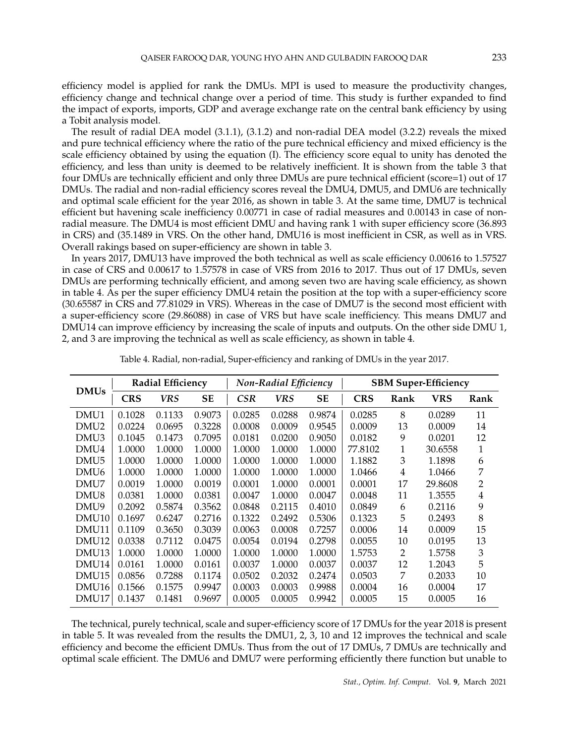efficiency model is applied for rank the DMUs. MPI is used to measure the productivity changes, efficiency change and technical change over a period of time. This study is further expanded to find the impact of exports, imports, GDP and average exchange rate on the central bank efficiency by using a Tobit analysis model.

The result of radial DEA model (3.1.1), (3.1.2) and non-radial DEA model (3.2.2) reveals the mixed and pure technical efficiency where the ratio of the pure technical efficiency and mixed efficiency is the scale efficiency obtained by using the equation (I). The efficiency score equal to unity has denoted the efficiency, and less than unity is deemed to be relatively inefficient. It is shown from the table 3 that four DMUs are technically efficient and only three DMUs are pure technical efficient (score=1) out of 17 DMUs. The radial and non-radial efficiency scores reveal the DMU4, DMU5, and DMU6 are technically and optimal scale efficient for the year 2016, as shown in table 3. At the same time, DMU7 is technical efficient but havening scale inefficiency 0.00771 in case of radial measures and 0.00143 in case of nonradial measure. The DMU4 is most efficient DMU and having rank 1 with super efficiency score (36.893 in CRS) and (35.1489 in VRS. On the other hand, DMU16 is most inefficient in CSR, as well as in VRS. Overall rakings based on super-efficiency are shown in table 3.

In years 2017, DMU13 have improved the both technical as well as scale efficiency 0.00616 to 1.57527 in case of CRS and 0.00617 to 1.57578 in case of VRS from 2016 to 2017. Thus out of 17 DMUs, seven DMUs are performing technically efficient, and among seven two are having scale efficiency, as shown in table 4. As per the super efficiency DMU4 retain the position at the top with a super-efficiency score (30.65587 in CRS and 77.81029 in VRS). Whereas in the case of DMU7 is the second most efficient with a super-efficiency score (29.86088) in case of VRS but have scale inefficiency. This means DMU7 and DMU14 can improve efficiency by increasing the scale of inputs and outputs. On the other side DMU 1, 2, and 3 are improving the technical as well as scale efficiency, as shown in table 4.

|                   |            | <b>Radial Efficiency</b> |        |            | <b>Non-Radial Efficiency</b> |        | <b>SBM Super-Efficiency</b> |      |            |      |
|-------------------|------------|--------------------------|--------|------------|------------------------------|--------|-----------------------------|------|------------|------|
| <b>DMUs</b>       | <b>CRS</b> | VRS                      | SЕ     | <b>CSR</b> | <b>VRS</b>                   | SE     | <b>CRS</b>                  | Rank | <b>VRS</b> | Rank |
| DMU1              | 0.1028     | 0.1133                   | 0.9073 | 0.0285     | 0.0288                       | 0.9874 | 0.0285                      | 8    | 0.0289     | 11   |
| DMU <sub>2</sub>  | 0.0224     | 0.0695                   | 0.3228 | 0.0008     | 0.0009                       | 0.9545 | 0.0009                      | 13   | 0.0009     | 14   |
| DMU3              | 0.1045     | 0.1473                   | 0.7095 | 0.0181     | 0.0200                       | 0.9050 | 0.0182                      | 9    | 0.0201     | 12   |
| DMU4              | 1.0000     | 1.0000                   | 1.0000 | 1.0000     | 1.0000                       | 1.0000 | 77.8102                     | 1    | 30.6558    | 1    |
| DMU <sub>5</sub>  | 1.0000     | 1.0000                   | 1.0000 | 1.0000     | 1.0000                       | 1.0000 | 1.1882                      | 3    | 1.1898     | 6    |
| DMU <sub>6</sub>  | 1.0000     | 1.0000                   | 1.0000 | 1.0000     | 1.0000                       | 1.0000 | 1.0466                      | 4    | 1.0466     | 7    |
| DMU7              | 0.0019     | 1.0000                   | 0.0019 | 0.0001     | 1.0000                       | 0.0001 | 0.0001                      | 17   | 29.8608    | 2    |
| DMU8              | 0.0381     | 1.0000                   | 0.0381 | 0.0047     | 1.0000                       | 0.0047 | 0.0048                      | 11   | 1.3555     | 4    |
| DMU9              | 0.2092     | 0.5874                   | 0.3562 | 0.0848     | 0.2115                       | 0.4010 | 0.0849                      | 6    | 0.2116     | 9    |
| DMU <sub>10</sub> | 0.1697     | 0.6247                   | 0.2716 | 0.1322     | 0.2492                       | 0.5306 | 0.1323                      | 5    | 0.2493     | 8    |
| DMU <sub>11</sub> | 0.1109     | 0.3650                   | 0.3039 | 0.0063     | 0.0008                       | 0.7257 | 0.0006                      | 14   | 0.0009     | 15   |
| DMU <sub>12</sub> | 0.0338     | 0.7112                   | 0.0475 | 0.0054     | 0.0194                       | 0.2798 | 0.0055                      | 10   | 0.0195     | 13   |
| DMU <sub>13</sub> | 1.0000     | 1.0000                   | 1.0000 | 1.0000     | 1.0000                       | 1.0000 | 1.5753                      | 2    | 1.5758     | 3    |
| DMU14             | 0.0161     | 1.0000                   | 0.0161 | 0.0037     | 1.0000                       | 0.0037 | 0.0037                      | 12   | 1.2043     | 5    |
| DMU <sub>15</sub> | 0.0856     | 0.7288                   | 0.1174 | 0.0502     | 0.2032                       | 0.2474 | 0.0503                      | 7    | 0.2033     | 10   |
| DMU <sub>16</sub> | 0.1566     | 0.1575                   | 0.9947 | 0.0003     | 0.0003                       | 0.9988 | 0.0004                      | 16   | 0.0004     | 17   |
| DMU17             | 0.1437     | 0.1481                   | 0.9697 | 0.0005     | 0.0005                       | 0.9942 | 0.0005                      | 15   | 0.0005     | 16   |

|  |  | Table 4. Radial, non-radial, Super-efficiency and ranking of DMUs in the year 2017. |  |
|--|--|-------------------------------------------------------------------------------------|--|
|  |  |                                                                                     |  |

The technical, purely technical, scale and super-efficiency score of 17 DMUs for the year 2018 is present in table 5. It was revealed from the results the DMU1, 2, 3, 10 and 12 improves the technical and scale efficiency and become the efficient DMUs. Thus from the out of 17 DMUs, 7 DMUs are technically and optimal scale efficient. The DMU6 and DMU7 were performing efficiently there function but unable to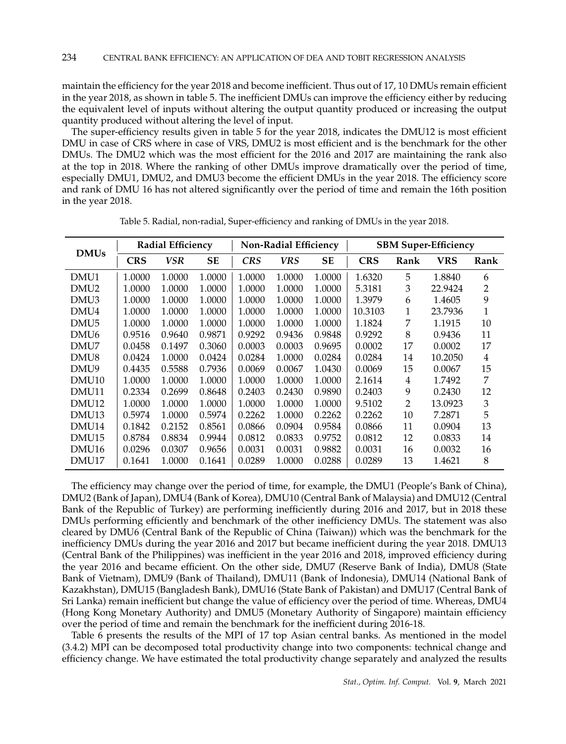maintain the efficiency for the year 2018 and become inefficient. Thus out of 17, 10 DMUs remain efficient in the year 2018, as shown in table 5. The inefficient DMUs can improve the efficiency either by reducing the equivalent level of inputs without altering the output quantity produced or increasing the output quantity produced without altering the level of input.

The super-efficiency results given in table 5 for the year 2018, indicates the DMU12 is most efficient DMU in case of CRS where in case of VRS, DMU2 is most efficient and is the benchmark for the other DMUs. The DMU2 which was the most efficient for the 2016 and 2017 are maintaining the rank also at the top in 2018. Where the ranking of other DMUs improve dramatically over the period of time, especially DMU1, DMU2, and DMU3 become the efficient DMUs in the year 2018. The efficiency score and rank of DMU 16 has not altered significantly over the period of time and remain the 16th position in the year 2018.

|                   |            | <b>Radial Efficiency</b> |           |            | <b>Non-Radial Efficiency</b> |           |            |      | <b>SBM Super-Efficiency</b> |      |
|-------------------|------------|--------------------------|-----------|------------|------------------------------|-----------|------------|------|-----------------------------|------|
| <b>DMUs</b>       | <b>CRS</b> | VSR                      | <b>SE</b> | <b>CRS</b> | <b>VRS</b>                   | <b>SE</b> | <b>CRS</b> | Rank | <b>VRS</b>                  | Rank |
| DMU1              | 1.0000     | 1.0000                   | 1.0000    | 1.0000     | 1.0000                       | 1.0000    | 1.6320     | 5    | 1.8840                      | 6    |
| DMU <sub>2</sub>  | 1.0000     | 1.0000                   | 1.0000    | 1.0000     | 1.0000                       | 1.0000    | 5.3181     | 3    | 22.9424                     | 2    |
| DMU <sub>3</sub>  | 1.0000     | 1.0000                   | 1.0000    | 1.0000     | 1.0000                       | 1.0000    | 1.3979     | 6    | 1.4605                      | 9    |
| DMU4              | 1.0000     | 1.0000                   | 1.0000    | 1.0000     | 1.0000                       | 1.0000    | 10.3103    | 1    | 23.7936                     | 1    |
| DMU <sub>5</sub>  | 1.0000     | 1.0000                   | 1.0000    | 1.0000     | 1.0000                       | 1.0000    | 1.1824     | 7    | 1.1915                      | 10   |
| DMU <sub>6</sub>  | 0.9516     | 0.9640                   | 0.9871    | 0.9292     | 0.9436                       | 0.9848    | 0.9292     | 8    | 0.9436                      | 11   |
| DMU7              | 0.0458     | 0.1497                   | 0.3060    | 0.0003     | 0.0003                       | 0.9695    | 0.0002     | 17   | 0.0002                      | 17   |
| DMU8              | 0.0424     | 1.0000                   | 0.0424    | 0.0284     | 1.0000                       | 0.0284    | 0.0284     | 14   | 10.2050                     | 4    |
| DMU9              | 0.4435     | 0.5588                   | 0.7936    | 0.0069     | 0.0067                       | 1.0430    | 0.0069     | 15   | 0.0067                      | 15   |
| DMU <sub>10</sub> | 1.0000     | 1.0000                   | 1.0000    | 1.0000     | 1.0000                       | 1.0000    | 2.1614     | 4    | 1.7492                      | 7    |
| DMU11             | 0.2334     | 0.2699                   | 0.8648    | 0.2403     | 0.2430                       | 0.9890    | 0.2403     | 9    | 0.2430                      | 12   |
| DMU <sub>12</sub> | 1.0000     | 1.0000                   | 1.0000    | 1.0000     | 1.0000                       | 1.0000    | 9.5102     | 2    | 13.0923                     | 3    |
| DMU <sub>13</sub> | 0.5974     | 1.0000                   | 0.5974    | 0.2262     | 1.0000                       | 0.2262    | 0.2262     | 10   | 7.2871                      | 5    |
| DMU14             | 0.1842     | 0.2152                   | 0.8561    | 0.0866     | 0.0904                       | 0.9584    | 0.0866     | 11   | 0.0904                      | 13   |
| DMU <sub>15</sub> | 0.8784     | 0.8834                   | 0.9944    | 0.0812     | 0.0833                       | 0.9752    | 0.0812     | 12   | 0.0833                      | 14   |
| DMU16             | 0.0296     | 0.0307                   | 0.9656    | 0.0031     | 0.0031                       | 0.9882    | 0.0031     | 16   | 0.0032                      | 16   |
| DMU17             | 0.1641     | 1.0000                   | 0.1641    | 0.0289     | 1.0000                       | 0.0288    | 0.0289     | 13   | 1.4621                      | 8    |

Table 5. Radial, non-radial, Super-efficiency and ranking of DMUs in the year 2018.

The efficiency may change over the period of time, for example, the DMU1 (People's Bank of China), DMU2 (Bank of Japan), DMU4 (Bank of Korea), DMU10 (Central Bank of Malaysia) and DMU12 (Central Bank of the Republic of Turkey) are performing inefficiently during 2016 and 2017, but in 2018 these DMUs performing efficiently and benchmark of the other inefficiency DMUs. The statement was also cleared by DMU6 (Central Bank of the Republic of China (Taiwan)) which was the benchmark for the inefficiency DMUs during the year 2016 and 2017 but became inefficient during the year 2018. DMU13 (Central Bank of the Philippines) was inefficient in the year 2016 and 2018, improved efficiency during the year 2016 and became efficient. On the other side, DMU7 (Reserve Bank of India), DMU8 (State Bank of Vietnam), DMU9 (Bank of Thailand), DMU11 (Bank of Indonesia), DMU14 (National Bank of Kazakhstan), DMU15 (Bangladesh Bank), DMU16 (State Bank of Pakistan) and DMU17 (Central Bank of Sri Lanka) remain inefficient but change the value of efficiency over the period of time. Whereas, DMU4 (Hong Kong Monetary Authority) and DMU5 (Monetary Authority of Singapore) maintain efficiency over the period of time and remain the benchmark for the inefficient during 2016-18.

Table 6 presents the results of the MPI of 17 top Asian central banks. As mentioned in the model (3.4.2) MPI can be decomposed total productivity change into two components: technical change and efficiency change. We have estimated the total productivity change separately and analyzed the results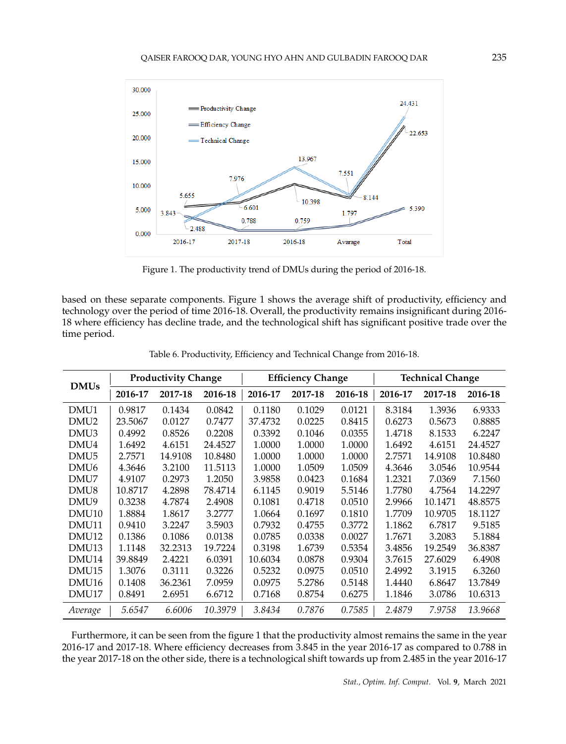

Figure 1. The productivity trend of DMUs during the period of 2016-18.

based on these separate components. Figure 1 shows the average shift of productivity, efficiency and technology over the period of time 2016-18. Overall, the productivity remains insignificant during 2016- 18 where efficiency has decline trade, and the technological shift has significant positive trade over the time period.

|                   | <b>Productivity Change</b> |         |         | <b>Efficiency Change</b> |         | <b>Technical Change</b> |         |         |         |
|-------------------|----------------------------|---------|---------|--------------------------|---------|-------------------------|---------|---------|---------|
| <b>DMUs</b>       | 2016-17                    | 2017-18 | 2016-18 | 2016-17                  | 2017-18 | 2016-18                 | 2016-17 | 2017-18 | 2016-18 |
| DMU1              | 0.9817                     | 0.1434  | 0.0842  | 0.1180                   | 0.1029  | 0.0121                  | 8.3184  | 1.3936  | 6.9333  |
| DMU <sub>2</sub>  | 23.5067                    | 0.0127  | 0.7477  | 37.4732                  | 0.0225  | 0.8415                  | 0.6273  | 0.5673  | 0.8885  |
| DMU3              | 0.4992                     | 0.8526  | 0.2208  | 0.3392                   | 0.1046  | 0.0355                  | 1.4718  | 8.1533  | 6.2247  |
| DMU4              | 1.6492                     | 4.6151  | 24.4527 | 1.0000                   | 1.0000  | 1.0000                  | 1.6492  | 4.6151  | 24.4527 |
| DMU <sub>5</sub>  | 2.7571                     | 14.9108 | 10.8480 | 1.0000                   | 1.0000  | 1.0000                  | 2.7571  | 14.9108 | 10.8480 |
| DMU <sub>6</sub>  | 4.3646                     | 3.2100  | 11.5113 | 1.0000                   | 1.0509  | 1.0509                  | 4.3646  | 3.0546  | 10.9544 |
| DMU7              | 4.9107                     | 0.2973  | 1.2050  | 3.9858                   | 0.0423  | 0.1684                  | 1.2321  | 7.0369  | 7.1560  |
| DMU8              | 10.8717                    | 4.2898  | 78.4714 | 6.1145                   | 0.9019  | 5.5146                  | 1.7780  | 4.7564  | 14.2297 |
| DMU9              | 0.3238                     | 4.7874  | 2.4908  | 0.1081                   | 0.4718  | 0.0510                  | 2.9966  | 10.1471 | 48.8575 |
| DMU <sub>10</sub> | 1.8884                     | 1.8617  | 3.2777  | 1.0664                   | 0.1697  | 0.1810                  | 1.7709  | 10.9705 | 18.1127 |
| DMU11             | 0.9410                     | 3.2247  | 3.5903  | 0.7932                   | 0.4755  | 0.3772                  | 1.1862  | 6.7817  | 9.5185  |
| DMU <sub>12</sub> | 0.1386                     | 0.1086  | 0.0138  | 0.0785                   | 0.0338  | 0.0027                  | 1.7671  | 3.2083  | 5.1884  |
| DMU <sub>13</sub> | 1.1148                     | 32.2313 | 19.7224 | 0.3198                   | 1.6739  | 0.5354                  | 3.4856  | 19.2549 | 36.8387 |
| DMU <sub>14</sub> | 39.8849                    | 2.4221  | 6.0391  | 10.6034                  | 0.0878  | 0.9304                  | 3.7615  | 27.6029 | 6.4908  |
| DMU <sub>15</sub> | 1.3076                     | 0.3111  | 0.3226  | 0.5232                   | 0.0975  | 0.0510                  | 2.4992  | 3.1915  | 6.3260  |
| DMU <sub>16</sub> | 0.1408                     | 36.2361 | 7.0959  | 0.0975                   | 5.2786  | 0.5148                  | 1.4440  | 6.8647  | 13.7849 |
| DMU17             | 0.8491                     | 2.6951  | 6.6712  | 0.7168                   | 0.8754  | 0.6275                  | 1.1846  | 3.0786  | 10.6313 |
| Average           | 5.6547                     | 6.6006  | 10.3979 | 3.8434                   | 0.7876  | 0.7585                  | 2.4879  | 7.9758  | 13.9668 |

Table 6. Productivity, Efficiency and Technical Change from 2016-18.

Furthermore, it can be seen from the figure 1 that the productivity almost remains the same in the year 2016-17 and 2017-18. Where efficiency decreases from 3.845 in the year 2016-17 as compared to 0.788 in the year 2017-18 on the other side, there is a technological shift towards up from 2.485 in the year 2016-17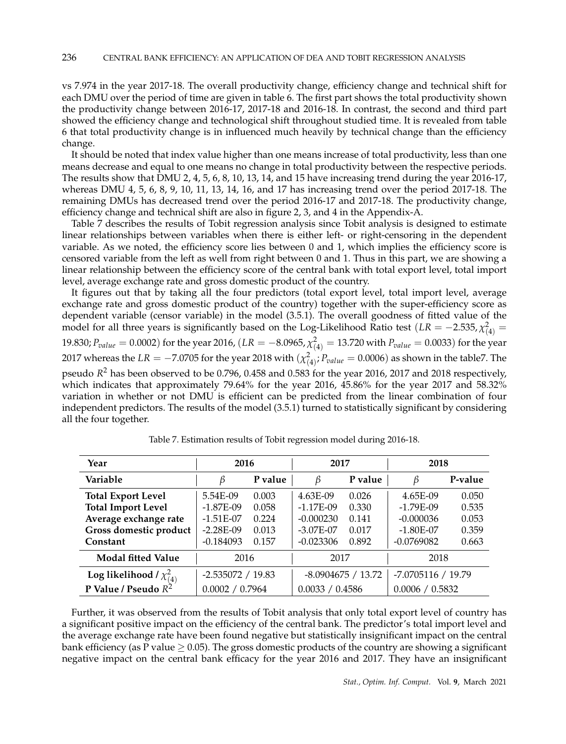vs 7.974 in the year 2017-18. The overall productivity change, efficiency change and technical shift for each DMU over the period of time are given in table 6. The first part shows the total productivity shown the productivity change between 2016-17, 2017-18 and 2016-18. In contrast, the second and third part showed the efficiency change and technological shift throughout studied time. It is revealed from table 6 that total productivity change is in influenced much heavily by technical change than the efficiency change.

It should be noted that index value higher than one means increase of total productivity, less than one means decrease and equal to one means no change in total productivity between the respective periods. The results show that DMU 2, 4, 5, 6, 8, 10, 13, 14, and 15 have increasing trend during the year 2016-17, whereas DMU 4, 5, 6, 8, 9, 10, 11, 13, 14, 16, and 17 has increasing trend over the period 2017-18. The remaining DMUs has decreased trend over the period 2016-17 and 2017-18. The productivity change, efficiency change and technical shift are also in figure 2, 3, and 4 in the Appendix-A.

Table 7 describes the results of Tobit regression analysis since Tobit analysis is designed to estimate linear relationships between variables when there is either left- or right-censoring in the dependent variable. As we noted, the efficiency score lies between 0 and 1, which implies the efficiency score is censored variable from the left as well from right between 0 and 1. Thus in this part, we are showing a linear relationship between the efficiency score of the central bank with total export level, total import level, average exchange rate and gross domestic product of the country.

It figures out that by taking all the four predictors (total export level, total import level, average exchange rate and gross domestic product of the country) together with the super-efficiency score as dependent variable (censor variable) in the model (3.5.1). The overall goodness of fitted value of the model for all three years is significantly based on the Log-Likelihood Ratio test ( $LR = -2.535$ ,  $\chi^2_{(4)} =$ 19.830; *Pvalue* = 0.0002) for the year 2016, (*LR* = *−*8.0965, *χ* 2 (4) = 13.720 with *Pvalue* = 0.0033) for the year 2017 whereas the  $LR=-7.0705$  for the year 2018 with  $(\chi^2_{(4)};P_{value}=0.0006)$  as shown in the table7. The pseudo *R* <sup>2</sup> has been observed to be 0.796, 0.458 and 0.583 for the year 2016, 2017 and 2018 respectively, which indicates that approximately 79.64% for the year 2016, 45.86% for the year 2017 and 58.32% variation in whether or not DMU is efficient can be predicted from the linear combination of four independent predictors. The results of the model (3.5.1) turned to statistically significant by considering all the four together.

| Year                            | 2016                 |         | 2017                 |                      | 2018               |         |  |
|---------------------------------|----------------------|---------|----------------------|----------------------|--------------------|---------|--|
| Variable                        | ß                    | P value | ß                    | P value              |                    | P-value |  |
| <b>Total Export Level</b>       | 5.54E-09             | 0.003   | 4.63E-09             | 0.026                | 4.65E-09           | 0.050   |  |
| <b>Total Import Level</b>       | $-1.87E-09$          | 0.058   | $-1.17E-09$          | 0.330                | $-1.79E-09$        | 0.535   |  |
| Average exchange rate           | $-1.51E-07$<br>0.224 |         | $-0.000230$          | 0.141                | $-0.000036$        | 0.053   |  |
| Gross domestic product          | $-2.28E-09$<br>0.013 |         | $-3.07E-07$<br>0.017 |                      | $-1.80E-07$        | 0.359   |  |
| Constant                        | $-0.184093$<br>0.157 |         | $-0.023306$<br>0.892 |                      | $-0.0769082$       | 0.663   |  |
| <b>Modal fitted Value</b>       | 2016                 |         | 2017                 |                      | 2018               |         |  |
| Log likelihood / $\chi^2_{(4)}$ | $-2.535072 / 19.83$  |         |                      | $-8.0904675 / 13.72$ | -7.0705116 / 19.79 |         |  |
| P Value / Pseudo $R^2$          | 0.0002 / 0.7964      |         | 0.0033 / 0.4586      |                      | 0.0006 / 0.5832    |         |  |

Table 7. Estimation results of Tobit regression model during 2016-18.

Further, it was observed from the results of Tobit analysis that only total export level of country has a significant positive impact on the efficiency of the central bank. The predictor's total import level and the average exchange rate have been found negative but statistically insignificant impact on the central bank efficiency (as P value *≥* 0.05). The gross domestic products of the country are showing a significant negative impact on the central bank efficacy for the year 2016 and 2017. They have an insignificant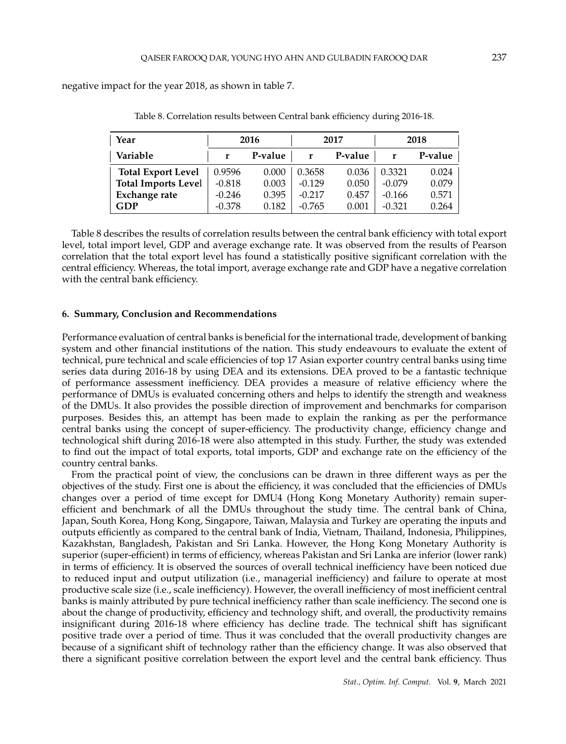negative impact for the year 2018, as shown in table 7.

| Year                       |          | 2016    |          | 2017    | 2018     |         |
|----------------------------|----------|---------|----------|---------|----------|---------|
| Variable                   |          | P-value |          | P-value |          | P-value |
| <b>Total Export Level</b>  | 0.9596   | 0.000   | 0.3658   | 0.036   | 0.3321   | 0.024   |
| <b>Total Imports Level</b> | $-0.818$ | 0.003   | $-0.129$ | 0.050   | $-0.079$ | 0.079   |
| Exchange rate              | $-0.246$ | 0.395   | $-0.217$ | 0.457   | $-0.166$ | 0.571   |
| GDP                        | $-0.378$ | 0.182   | $-0.765$ | 0.001   | $-0.321$ | 0.264   |

Table 8. Correlation results between Central bank efficiency during 2016-18.

Table 8 describes the results of correlation results between the central bank efficiency with total export level, total import level, GDP and average exchange rate. It was observed from the results of Pearson correlation that the total export level has found a statistically positive significant correlation with the central efficiency. Whereas, the total import, average exchange rate and GDP have a negative correlation with the central bank efficiency.

## **6. Summary, Conclusion and Recommendations**

Performance evaluation of central banks is beneficial for the international trade, development of banking system and other financial institutions of the nation. This study endeavours to evaluate the extent of technical, pure technical and scale efficiencies of top 17 Asian exporter country central banks using time series data during 2016-18 by using DEA and its extensions. DEA proved to be a fantastic technique of performance assessment inefficiency. DEA provides a measure of relative efficiency where the performance of DMUs is evaluated concerning others and helps to identify the strength and weakness of the DMUs. It also provides the possible direction of improvement and benchmarks for comparison purposes. Besides this, an attempt has been made to explain the ranking as per the performance central banks using the concept of super-efficiency. The productivity change, efficiency change and technological shift during 2016-18 were also attempted in this study. Further, the study was extended to find out the impact of total exports, total imports, GDP and exchange rate on the efficiency of the country central banks.

From the practical point of view, the conclusions can be drawn in three different ways as per the objectives of the study. First one is about the efficiency, it was concluded that the efficiencies of DMUs changes over a period of time except for DMU4 (Hong Kong Monetary Authority) remain superefficient and benchmark of all the DMUs throughout the study time. The central bank of China, Japan, South Korea, Hong Kong, Singapore, Taiwan, Malaysia and Turkey are operating the inputs and outputs efficiently as compared to the central bank of India, Vietnam, Thailand, Indonesia, Philippines, Kazakhstan, Bangladesh, Pakistan and Sri Lanka. However, the Hong Kong Monetary Authority is superior (super-efficient) in terms of efficiency, whereas Pakistan and Sri Lanka are inferior (lower rank) in terms of efficiency. It is observed the sources of overall technical inefficiency have been noticed due to reduced input and output utilization (i.e., managerial inefficiency) and failure to operate at most productive scale size (i.e., scale inefficiency). However, the overall inefficiency of most inefficient central banks is mainly attributed by pure technical inefficiency rather than scale inefficiency. The second one is about the change of productivity, efficiency and technology shift, and overall, the productivity remains insignificant during 2016-18 where efficiency has decline trade. The technical shift has significant positive trade over a period of time. Thus it was concluded that the overall productivity changes are because of a significant shift of technology rather than the efficiency change. It was also observed that there a significant positive correlation between the export level and the central bank efficiency. Thus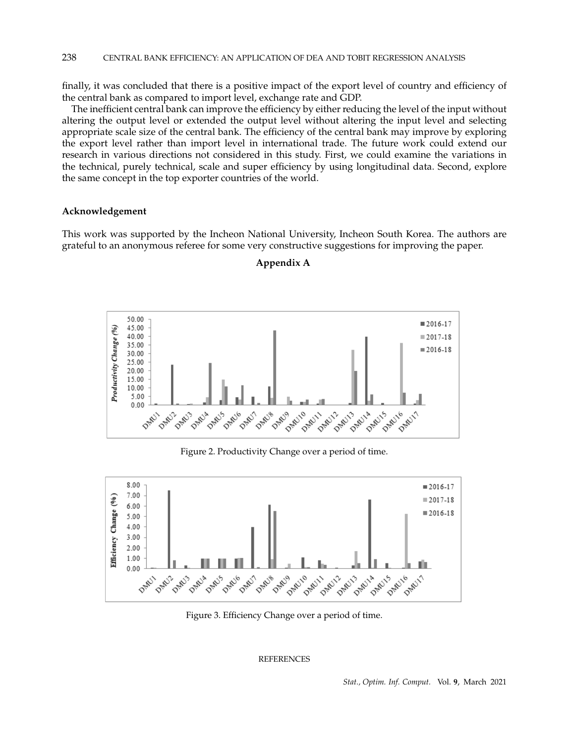## 238 CENTRAL BANK EFFICIENCY: AN APPLICATION OF DEA AND TOBIT REGRESSION ANALYSIS

finally, it was concluded that there is a positive impact of the export level of country and efficiency of the central bank as compared to import level, exchange rate and GDP.

The inefficient central bank can improve the efficiency by either reducing the level of the input without altering the output level or extended the output level without altering the input level and selecting appropriate scale size of the central bank. The efficiency of the central bank may improve by exploring the export level rather than import level in international trade. The future work could extend our research in various directions not considered in this study. First, we could examine the variations in the technical, purely technical, scale and super efficiency by using longitudinal data. Second, explore the same concept in the top exporter countries of the world.

## **Acknowledgement**

This work was supported by the Incheon National University, Incheon South Korea. The authors are grateful to an anonymous referee for some very constructive suggestions for improving the paper.

**Appendix A**



Figure 2. Productivity Change over a period of time.



Figure 3. Efficiency Change over a period of time.

REFERENCES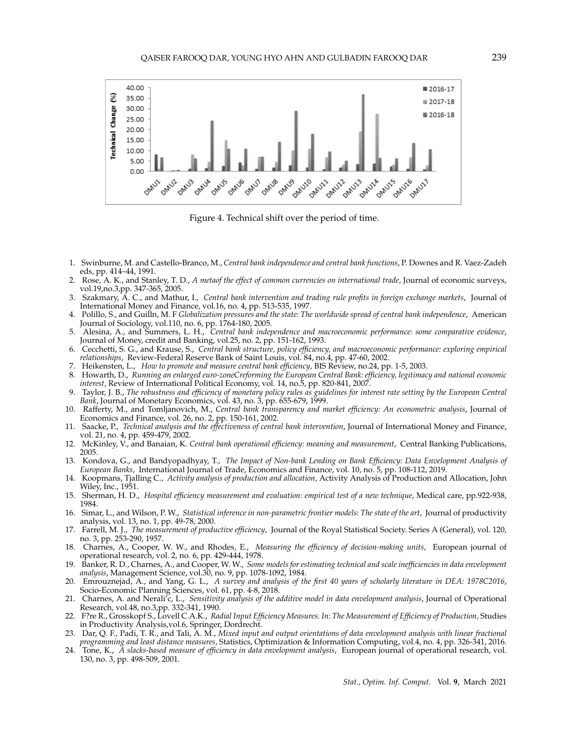

Figure 4. Technical shift over the period of time.

- 1. Swinburne, M. and Castello-Branco, M., *Central bank independence and central bank functions*, P. Downes and R. Vaez-Zadeh eds, pp. 414–44, 1991.
- 2. Rose, A. K., and Stanley, T. D., *A metaof the effect of common currencies on international trade*, Journal of economic surveys, vol.19,no.3,pp. 347-365, 2005.
- 3. Szakmary, A. C., and Mathur, I., *Central bank intervention and trading rule profits in foreign exchange markets*, Journal of International Money and Finance, vol.16, no. 4, pp. 513-535, 1997.
- 4. Polillo, S., and Guilln, M. F *Globalization pressures and the state: The worldwide spread of central bank independence*, American Journal of Sociology, vol.110, no. 6, pp. 1764-180, 2005.
- 5. Alesina, A., and Summers, L. H., *Central bank independence and macroeconomic performance: some comparative evidence*, Journal of Money, credit and Banking, vol.25, no. 2, pp. 151-162, 1993.
- 6. Cecchetti, S. G., and Krause, S., *Central bank structure, policy efficiency, and macroeconomic performance: exploring empirical relationships*, Review-Federal Reserve Bank of Saint Louis, vol. 84, no.4, pp. 47-60, 2002.
- 7. Heikensten, L., *How to promote and measure central bank efficiency*, BIS Review, no.24, pp. 1-5, 2003.
- 8. Howarth, D., *Running an enlarged euro-zoneCreforming the European Central Bank: efficiency, legitimacy and national economic interest*, Review of International Political Economy, vol. 14, no.5, pp. 820-841, 2007.
- 9. Taylor, J. B., *The robustness and efficiency of monetary policy rules as guidelines for interest rate setting by the European Central Bank*, Journal of Monetary Economics, vol. 43, no. 3, pp. 655-679, 1999.
- 10. Rafferty, M., and Tomljanovich, M., *Central bank transparency and market efficiency: An econometric analysis*, Journal of Economics and Finance, vol. 26, no. 2, pp. 150-161, 2002.
- 11. Saacke, P., *Technical analysis and the effectiveness of central bank intervention*, Journal of International Money and Finance, vol. 21, no. 4, pp. 459-479, 2002.
- 12. McKinley, V., and Banaian, K. *Central bank operational efficiency: meaning and measurement*, Central Banking Publications, 2005.
- 13. Kondova, G., and Bandyopadhyay, T., *The Impact of Non-bank Lending on Bank Efficiency: Data Envelopment Analysis of European Banks*, International Journal of Trade, Economics and Finance, vol. 10, no. 5, pp. 108-112, 2019.
- 14. Koopmans, Tjalling C., *Activity analysis of production and allocation*, Activity Analysis of Production and Allocation, John Wiley, Inc., 1951.
- 15. Sherman, H. D., *Hospital efficiency measurement and evaluation: empirical test of a new technique*, Medical care, pp.922-938, 1984.
- 16. Simar, L., and Wilson, P. W., *Statistical inference in non-parametric frontier models: The state of the art*, Journal of productivity analysis, vol. 13, no. 1, pp. 49-78, 2000.
- 17. Farrell, M. J., *The measurement of productive efficiency*, Journal of the Royal Statistical Society. Series A (General), vol. 120, no. 3, pp. 253-290, 1957.
- 18. Charnes, A., Cooper, W. W., and Rhodes, E., *Measuring the efficiency of decision-making units*, European journal of operational research, vol. 2, no. 6, pp. 429-444, 1978.
- 19. Banker, R. D., Charnes, A., and Cooper, W. W., *Some models for estimating technical and scale inefficiencies in data envelopment analysis*, Management Science, vol.30, no. 9, pp. 1078-1092, 1984.
- 20. Emrouznejad, A., and Yang, G. L., *A survey and analysis of the first 40 years of scholarly literature in DEA: 1978C2016*, Socio-Economic Planning Sciences, vol. 61, pp. 4-8, 2018.
- 21. Charnes, A. and Nerali'c, L., *Sensitivity analysis of the additive model in data envelopment analysis*, Journal of Operational Research, vol.48, no.3,pp. 332-341, 1990.
- 22. F?re R., Grosskopf S., Lovell C.A.K., *Radial Input Efficiency Measures. In: The Measurement of Efficiency of Production*, Studies in Productivity Analysis,vol.6, Springer, Dordrecht.
- 23. Dar, Q. F., Padi, T. R., and Tali, A. M., *Mixed input and output orientations of data envelopment analysis with linear fractional programming and least distance measures*, Statistics, Optimization & Information Computing, vol.4, no. 4, pp. 326-341, 2016.
- 24. Tone, K., *A slacks-based measure of efficiency in data envelopment analysis*, European journal of operational research, vol. 130, no. 3, pp. 498-509, 2001.